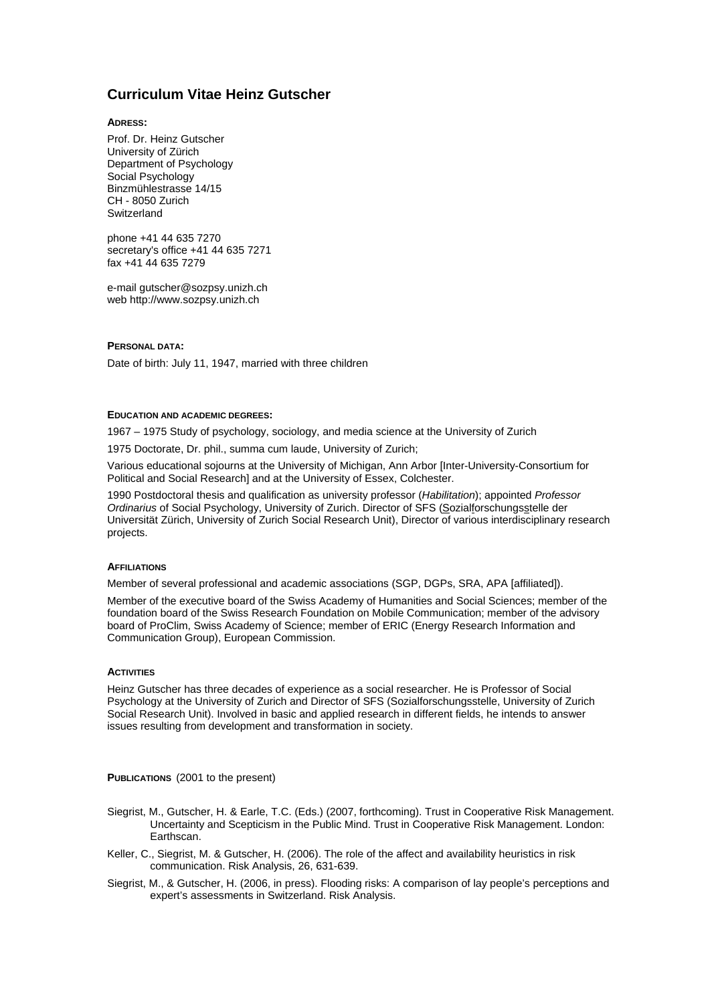# **Curriculum Vitae Heinz Gutscher**

**ADRESS:** 

Prof. Dr. Heinz Gutscher University of Zürich Department of Psychology Social Psychology Binzmühlestrasse 14/15 CH - 8050 Zurich **Switzerland** 

phone +41 44 635 7270 secretary's office +41 44 635 7271 fax +41 44 635 7279

e-mail gutscher@sozpsy.unizh.ch web http://www.sozpsy.unizh.ch

## **PERSONAL DATA:**

Date of birth: July 11, 1947, married with three children

#### **EDUCATION AND ACADEMIC DEGREES:**

1967 – 1975 Study of psychology, sociology, and media science at the University of Zurich

1975 Doctorate, Dr. phil., summa cum laude, University of Zurich;

Various educational sojourns at the University of Michigan, Ann Arbor [Inter-University-Consortium for Political and Social Research] and at the University of Essex, Colchester.

1990 Postdoctoral thesis and qualification as university professor (*Habilitation*); appointed *Professor Ordinarius* of Social Psychology, University of Zurich. Director of SFS (Sozialforschungsstelle der Universität Zürich, University of Zurich Social Research Unit), Director of various interdisciplinary research projects.

## **AFFILIATIONS**

Member of several professional and academic associations (SGP, DGPs, SRA, APA [affiliated]).

Member of the executive board of the Swiss Academy of Humanities and Social Sciences; member of the foundation board of the Swiss Research Foundation on Mobile Communication; member of the advisory board of ProClim, Swiss Academy of Science; member of ERIC (Energy Research Information and Communication Group), European Commission.

### **ACTIVITIES**

Heinz Gutscher has three decades of experience as a social researcher. He is Professor of Social Psychology at the University of Zurich and Director of SFS (Sozialforschungsstelle, University of Zurich Social Research Unit). Involved in basic and applied research in different fields, he intends to answer issues resulting from development and transformation in society.

**PUBLICATIONS** (2001 to the present)

- Siegrist, M., Gutscher, H. & Earle, T.C. (Eds.) (2007, forthcoming). Trust in Cooperative Risk Management. Uncertainty and Scepticism in the Public Mind. Trust in Cooperative Risk Management. London: Earthscan.
- Keller, C., Siegrist, M. & Gutscher, H. (2006). The role of the affect and availability heuristics in risk communication. Risk Analysis, 26, 631-639.
- Siegrist, M., & Gutscher, H. (2006, in press). Flooding risks: A comparison of lay people's perceptions and expert's assessments in Switzerland. Risk Analysis.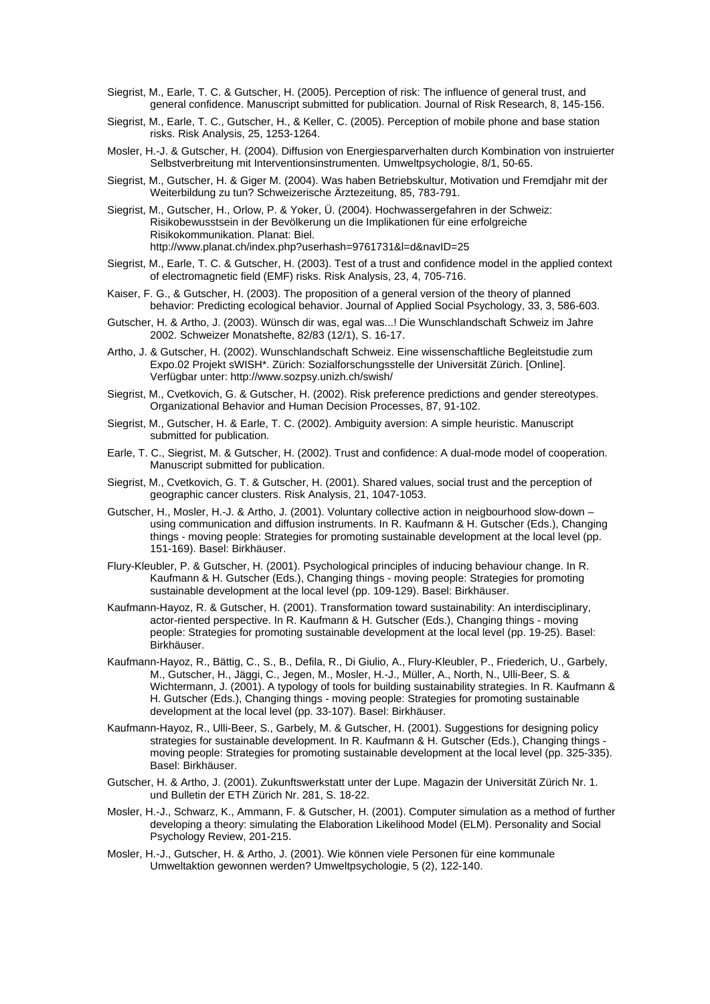- Siegrist, M., Earle, T. C. & Gutscher, H. (2005). Perception of risk: The influence of general trust, and general confidence. Manuscript submitted for publication. Journal of Risk Research, 8, 145-156.
- Siegrist, M., Earle, T. C., Gutscher, H., & Keller, C. (2005). Perception of mobile phone and base station risks. Risk Analysis, 25, 1253-1264.
- Mosler, H.-J. & Gutscher, H. (2004). Diffusion von Energiesparverhalten durch Kombination von instruierter Selbstverbreitung mit Interventionsinstrumenten. Umweltpsychologie, 8/1, 50-65.
- Siegrist, M., Gutscher, H. & Giger M. (2004). Was haben Betriebskultur, Motivation und Fremdjahr mit der Weiterbildung zu tun? Schweizerische Ärztezeitung, 85, 783-791.
- Siegrist, M., Gutscher, H., Orlow, P. & Yoker, Ü. (2004). Hochwassergefahren in der Schweiz: Risikobewusstsein in der Bevölkerung un die Implikationen für eine erfolgreiche Risikokommunikation. Planat: Biel. <http://www.planat.ch/index.php?userhash=9761731&l=d&navID=25>
- Siegrist, M., Earle, T. C. & Gutscher, H. (2003). Test of a trust and confidence model in the applied context of electromagnetic field (EMF) risks. Risk Analysis, 23, 4, 705-716.
- Kaiser, F. G., & Gutscher, H. (2003). The proposition of a general version of the theory of planned behavior: Predicting ecological behavior. Journal of Applied Social Psychology, 33, 3, 586-603.
- Gutscher, H. & Artho, J. (2003). Wünsch dir was, egal was...! Die Wunschlandschaft Schweiz im Jahre 2002. Schweizer Monatshefte, 82/83 (12/1), S. 16-17.
- Artho, J. & Gutscher, H. (2002). Wunschlandschaft Schweiz. Eine wissenschaftliche Begleitstudie zum Expo.02 Projekt sWISH\*. Zürich: Sozialforschungsstelle der Universität Zürich. [Online]. Verfügbar unter: <http://www.sozpsy.unizh.ch/swish/>
- Siegrist, M., Cvetkovich, G. & Gutscher, H. (2002). Risk preference predictions and gender stereotypes. Organizational Behavior and Human Decision Processes, 87, 91-102.
- Siegrist, M., Gutscher, H. & Earle, T. C. (2002). Ambiguity aversion: A simple heuristic. Manuscript submitted for publication.
- Earle, T. C., Siegrist, M. & Gutscher, H. (2002). Trust and confidence: A dual-mode model of cooperation. Manuscript submitted for publication.
- Siegrist, M., Cvetkovich, G. T. & Gutscher, H. (2001). Shared values, social trust and the perception of geographic cancer clusters. Risk Analysis, 21, 1047-1053.
- Gutscher, H., Mosler, H.-J. & Artho, J. (2001). Voluntary collective action in neigbourhood slow-down using communication and diffusion instruments. In R. Kaufmann & H. Gutscher (Eds.), Changing things - moving people: Strategies for promoting sustainable development at the local level (pp. 151-169). Basel: Birkhäuser.
- Flury-Kleubler, P. & Gutscher, H. (2001). Psychological principles of inducing behaviour change. In R. Kaufmann & H. Gutscher (Eds.), Changing things - moving people: Strategies for promoting sustainable development at the local level (pp. 109-129). Basel: Birkhäuser.
- Kaufmann-Hayoz, R. & Gutscher, H. (2001). Transformation toward sustainability: An interdisciplinary, actor-riented perspective. In R. Kaufmann & H. Gutscher (Eds.), Changing things - moving people: Strategies for promoting sustainable development at the local level (pp. 19-25). Basel: Birkhäuser.
- Kaufmann-Hayoz, R., Bättig, C., S., B., Defila, R., Di Giulio, A., Flury-Kleubler, P., Friederich, U., Garbely, M., Gutscher, H., Jäggi, C., Jegen, M., Mosler, H.-J., Müller, A., North, N., Ulli-Beer, S. & Wichtermann, J. (2001). A typology of tools for building sustainability strategies. In R. Kaufmann & H. Gutscher (Eds.), Changing things - moving people: Strategies for promoting sustainable development at the local level (pp. 33-107). Basel: Birkhäuser.
- Kaufmann-Hayoz, R., Ulli-Beer, S., Garbely, M. & Gutscher, H. (2001). Suggestions for designing policy strategies for sustainable development. In R. Kaufmann & H. Gutscher (Eds.), Changing things moving people: Strategies for promoting sustainable development at the local level (pp. 325-335). Basel: Birkhäuser.
- Gutscher, H. & Artho, J. (2001). Zukunftswerkstatt unter der Lupe. Magazin der Universität Zürich Nr. 1. und Bulletin der ETH Zürich Nr. 281, S. 18-22.
- Mosler, H.-J., Schwarz, K., Ammann, F. & Gutscher, H. (2001). Computer simulation as a method of further developing a theory: simulating the Elaboration Likelihood Model (ELM). Personality and Social Psychology Review, 201-215.
- Mosler, H.-J., Gutscher, H. & Artho, J. (2001). Wie können viele Personen für eine kommunale Umweltaktion gewonnen werden? Umweltpsychologie, 5 (2), 122-140.